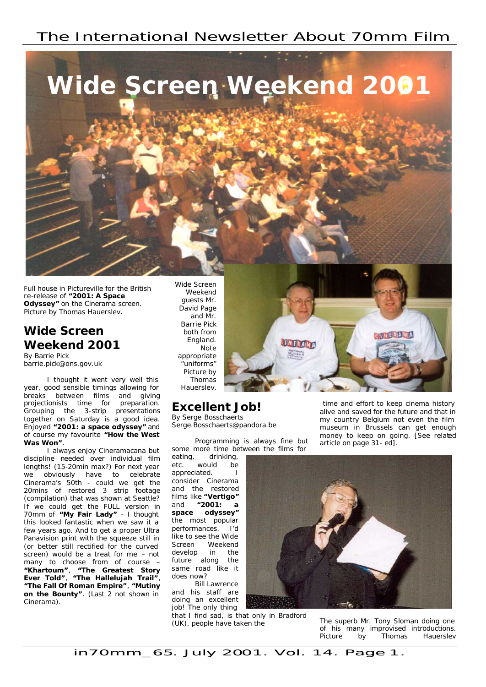# The International Newsletter About 70mm Film



*Full house in Pictureville for the British re-release of "2001: A Space Odyssey" on the Cinerama screen. Picture by Thomas Hauerslev.*

# **Wide Screen Weekend 2001**

By Barrie Pick barrie.pick@ons.gov.uk

I thought it went very well this year, good sensible timings allowing for breaks between films and giving projectionists time for preparation. Grouping the 3-strip presentations together on Saturday is a good idea. Enjoyed **"2001: a space odyssey"** and of course my favourite **"How the West Was Won"**.

I always enjoy Cineramacana but discipline needed over individual film lengths! (15-20min max?) For next year we obviously have to celebrate Cinerama's 50th - could we get the 20mins of restored 3 strip footage (compilation) that was shown at Seattle? If we could get the FULL version in 70mm of **"My Fair Lady"** - I thought this looked fantastic when we saw it a few years ago. And to get a proper Ultra Panavision print with the squeeze still in (or better still rectified for the curved screen) would be a treat for me – not many to choose from of course – **"Khartoum"**, **"The Greatest Story Ever Told"**, **"The Hallelujah Trail"**, **"The Fall Of Roman Empire"**, **"Mutiny on the Bounty"**. (Last 2 not shown in Cinerama).

*Weekend guests Mr. David Page and Mr. Barrie Pick both from England. Note appropriate "uniforms" Picture by Thomas Hauerslev.*

## **Excellent Job!**

By Serge Bosschaerts Serge.Bosschaerts@pandora.be

Programming is always fine but some more time between the films for

UNERALIT

eating, drinking, etc. would be appreciated. consider Cinerama and the restored films like **"Vertigo"** and **"2001: a space odyssey"** the most popular performances. I'd like to see the Wide Screen Weekend develop in the future along the same road like it does now?

Bill Lawrence and his staff are doing an excellent job! The only thing

that I find sad, is that only in Bradford (UK), people have taken the

 time and effort to keep cinema history alive and saved for the future and that in my country Belgium not even the film museum in Brussels can get enough money to keep on going. [See related article on page 31- ed].

MNERAMA



*The superb Mr. Tony Sloman doing one of his many improvised introductions. Picture by Thomas Hauerslev*